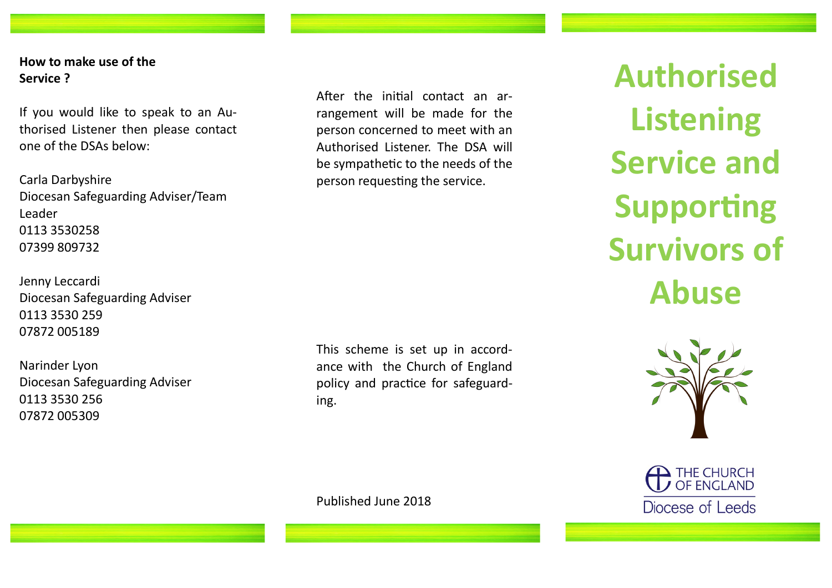**How to make use of the Service ?**

If you would like to speak to an Authorised Listener then please contact one of the DSAs below:

Carla Darbyshire Diocesan Safeguarding Adviser/Team Leader 0113 3530258 07399 809732

Jenny Leccardi Diocesan Safeguarding Adviser 0113 3530 259 07872 005189

Narinder Lyon Diocesan Safeguarding Adviser 0113 3530 256 07872 005309

After the initial contact an arrangement will be made for the person concerned to meet with an Authorised Listener. The DSA will be sympathetic to the needs of the person requesting the service.

This scheme is set up in accordance with the Church of England policy and practice for safeguarding.

Published June 2018

**Authorised Listening Service and Supporting Survivors of Abuse**



THE CHURCH Diocese of Leeds